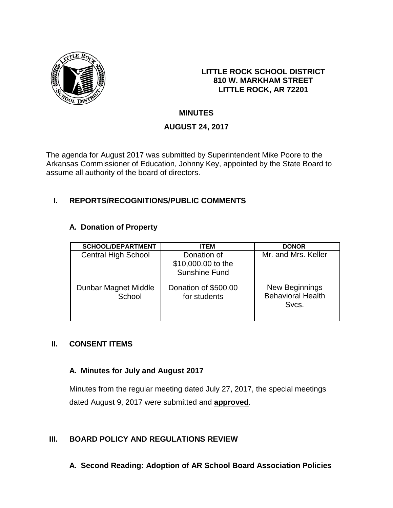

#### **LITTLE ROCK SCHOOL DISTRICT 810 W. MARKHAM STREET LITTLE ROCK, AR 72201**

# **MINUTES**

# **AUGUST 24, 2017**

The agenda for August 2017 was submitted by Superintendent Mike Poore to the Arkansas Commissioner of Education, Johnny Key, appointed by the State Board to assume all authority of the board of directors.

# **I. REPORTS/RECOGNITIONS/PUBLIC COMMENTS**

## **A. Donation of Property**

| <b>SCHOOL/DEPARTMENT</b>       | <b>ITEM</b>                                               | <b>DONOR</b>                                        |
|--------------------------------|-----------------------------------------------------------|-----------------------------------------------------|
| <b>Central High School</b>     | Donation of<br>\$10,000.00 to the<br><b>Sunshine Fund</b> | Mr. and Mrs. Keller                                 |
| Dunbar Magnet Middle<br>School | Donation of \$500.00<br>for students                      | New Beginnings<br><b>Behavioral Health</b><br>Svcs. |

### **II. CONSENT ITEMS**

### **A. Minutes for July and August 2017**

Minutes from the regular meeting dated July 27, 2017, the special meetings dated August 9, 2017 were submitted and **approved**.

## **III. BOARD POLICY AND REGULATIONS REVIEW**

**A. Second Reading: Adoption of AR School Board Association Policies**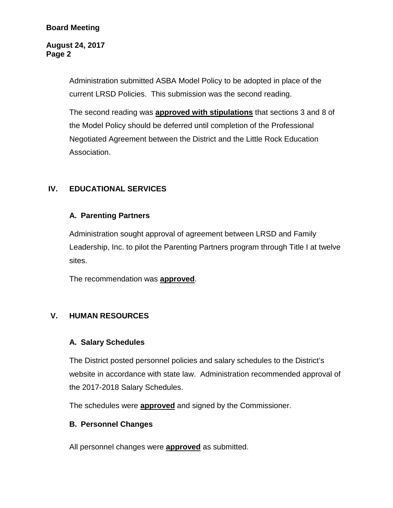#### **Board Meeting**

#### **August 24, 2017 Page 2**

Administration submitted ASBA Model Policy to be adopted in place of the current LRSD Policies. This submission was the second reading.

The second reading was **approved with stipulations** that sections 3 and 8 of the Model Policy should be deferred until completion of the Professional Negotiated Agreement between the District and the Little Rock Education Association.

## **IV. EDUCATIONAL SERVICES**

#### **A. Parenting Partners**

Administration sought approval of agreement between LRSD and Family Leadership, Inc. to pilot the Parenting Partners program through Title I at twelve sites.

The recommendation was **approved**.

### **V. HUMAN RESOURCES**

#### **A. Salary Schedules**

The District posted personnel policies and salary schedules to the District's website in accordance with state law. Administration recommended approval of the 2017-2018 Salary Schedules.

The schedules were **approved** and signed by the Commissioner.

#### **B. Personnel Changes**

All personnel changes were **approved** as submitted.